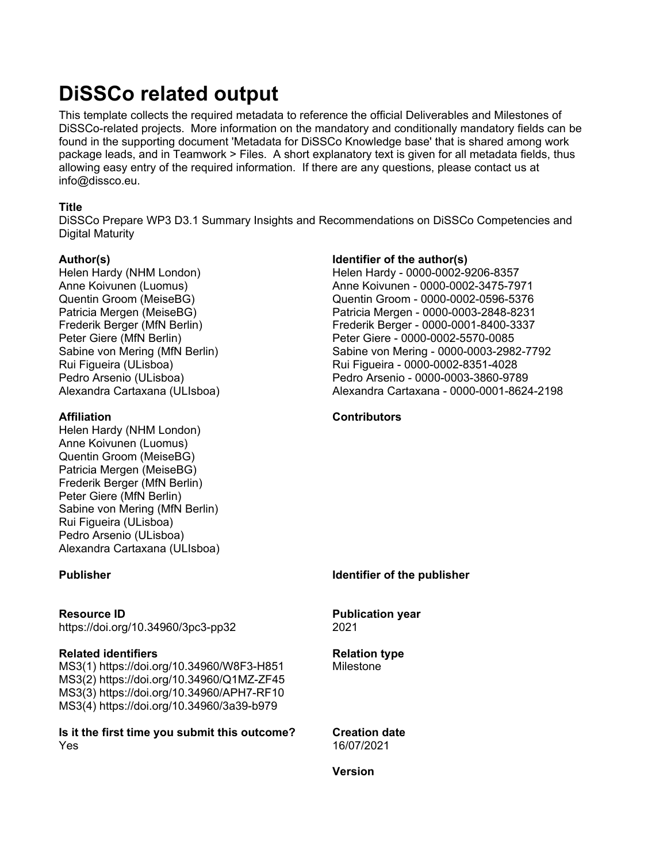## **DiSSCo related output**

This template collects the required metadata to reference the official Deliverables and Milestones of DiSSCo-related projects. More information on the mandatory and conditionally mandatory fields can be found in the supporting document 'Metadata for DiSSCo Knowledge base' that is shared among work package leads, and in Teamwork > Files. A short explanatory text is given for all metadata fields, thus allowing easy entry of the required information. If there are any questions, please contact us at info@dissco.eu.

## **Title**

DiSSCo Prepare WP3 D3.1 Summary Insights and Recommendations on DiSSCo Competencies and Digital Maturity

#### **Author(s)**

Helen Hardy (NHM London) Anne Koivunen (Luomus) Quentin Groom (MeiseBG) Patricia Mergen (MeiseBG) Frederik Berger (MfN Berlin) Peter Giere (MfN Berlin) Sabine von Mering (MfN Berlin) Rui Figueira (ULisboa) Pedro Arsenio (ULisboa) Alexandra Cartaxana (ULIsboa)

#### **Affiliation**

Helen Hardy (NHM London) Anne Koivunen (Luomus) Quentin Groom (MeiseBG) Patricia Mergen (MeiseBG) Frederik Berger (MfN Berlin) Peter Giere (MfN Berlin) Sabine von Mering (MfN Berlin) Rui Figueira (ULisboa) Pedro Arsenio (ULisboa) Alexandra Cartaxana (ULIsboa)

**Resource ID** https://doi.org/10.34960/3pc3-pp32

#### **Related identifiers**

MS3(1) https://doi.org/10.34960/W8F3-H851 MS3(2) https://doi.org/10.34960/Q1MZ-ZF45 MS3(3) https://doi.org/10.34960/APH7-RF10 MS3(4) https://doi.org/10.34960/3a39-b979

**Is it the first time you submit this outcome?** Yes

## **Identifier of the author(s)**

Helen Hardy - 0000-0002-9206-8357 Anne Koivunen - 0000-0002-3475-7971 Quentin Groom - 0000-0002-0596-5376 Patricia Mergen - 0000-0003-2848-8231 Frederik Berger - 0000-0001-8400-3337 Peter Giere - 0000-0002-5570-0085 Sabine von Mering - 0000-0003-2982-7792 Rui Figueira - 0000-0002-8351-4028 Pedro Arsenio - 0000-0003-3860-9789 Alexandra Cartaxana - 0000-0001-8624-2198

## **Contributors**

**Publisher Identifier of the publisher**

**Publication year** 2021

**Relation type** Milestone

**Creation date** 16/07/2021

**Version**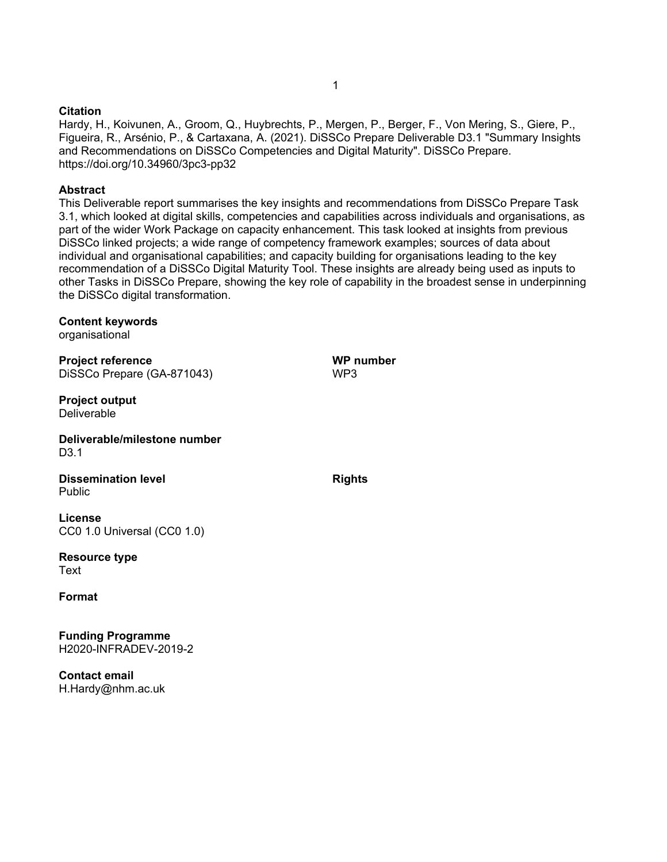#### **Citation**

Hardy, H., Koivunen, A., Groom, Q., Huybrechts, P., Mergen, P., Berger, F., Von Mering, S., Giere, P., Figueira, R., Arsénio, P., & Cartaxana, A. (2021). DiSSCo Prepare Deliverable D3.1 "Summary Insights and Recommendations on DiSSCo Competencies and Digital Maturity". DiSSCo Prepare. https://doi.org/10.34960/3pc3-pp32

#### **Abstract**

This Deliverable report summarises the key insights and recommendations from DiSSCo Prepare Task 3.1, which looked at digital skills, competencies and capabilities across individuals and organisations, as part of the wider Work Package on capacity enhancement. This task looked at insights from previous DiSSCo linked projects; a wide range of competency framework examples; sources of data about individual and organisational capabilities; and capacity building for organisations leading to the key recommendation of a DiSSCo Digital Maturity Tool. These insights are already being used as inputs to other Tasks in DiSSCo Prepare, showing the key role of capability in the broadest sense in underpinning the DiSSCo digital transformation.

#### **Content keywords**

organisational

**Project reference** DiSSCo Prepare (GA-871043)

**Project output Deliverable** 

**Deliverable/milestone number** D3.1

**Dissemination level** Public

**License** CC0 1.0 Universal (CC0 1.0)

**Resource type Text** 

**Format**

**Funding Programme** H2020-INFRADEV-2019-2

**Contact email** H.Hardy@nhm.ac.uk 1

**Rights**

**WP number**

WP3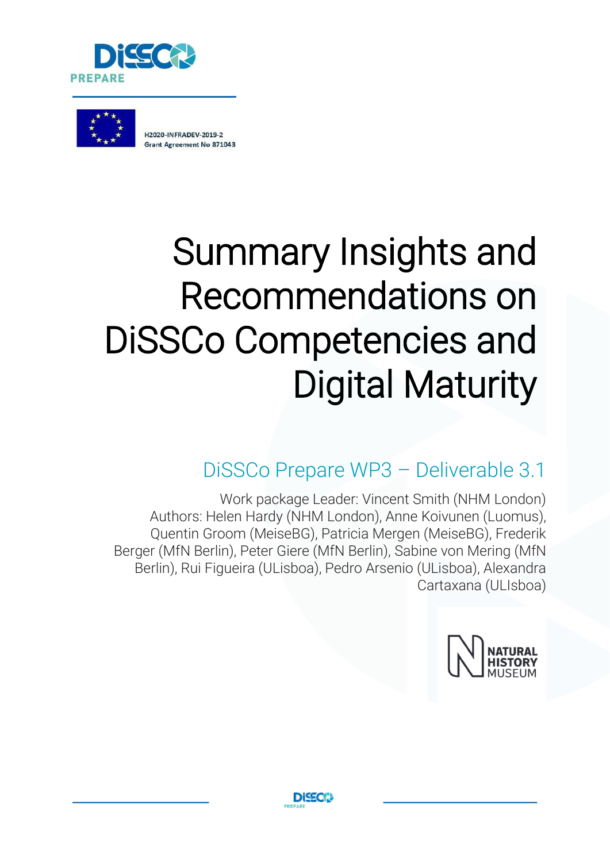



# Summary Insights and Recommendations on DiSSCo Competencies and Digital Maturity

## DiSSCo Prepare WP3 – Deliverable 3.1

Work package Leader: Vincent Smith (NHM London) Authors: Helen Hardy (NHM London), Anne Koivunen (Luomus), Quentin Groom (MeiseBG), Patricia Mergen (MeiseBG), Frederik Berger (MfN Berlin), Peter Giere (MfN Berlin), Sabine von Mering (MfN Berlin), Rui Figueira (ULisboa), Pedro Arsenio (ULisboa), Alexandra Cartaxana (ULIsboa)



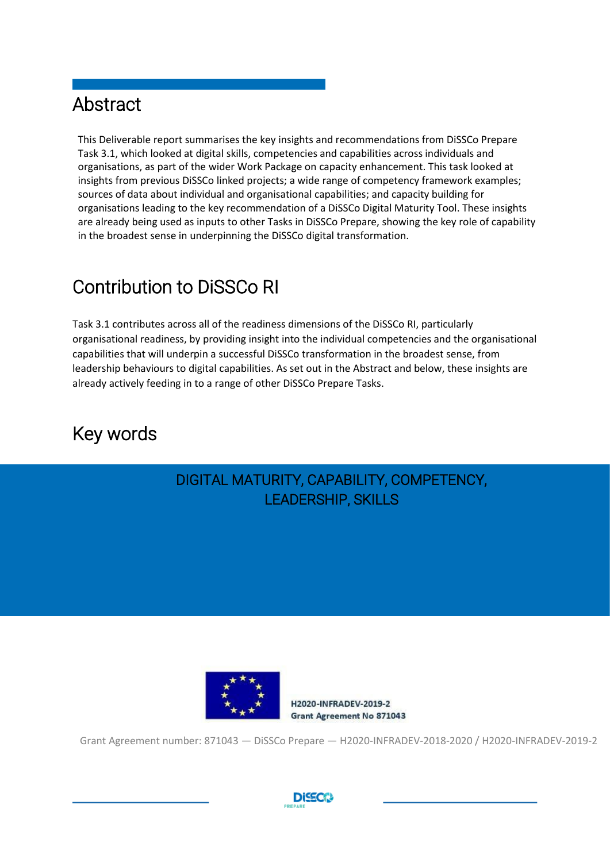## Abstract

This Deliverable report summarises the key insights and recommendations from DiSSCo Prepare Task 3.1, which looked at digital skills, competencies and capabilities across individuals and organisations, as part of the wider Work Package on capacity enhancement. This task looked at insights from previous DiSSCo linked projects; a wide range of competency framework examples; sources of data about individual and organisational capabilities; and capacity building for organisations leading to the key recommendation of a DiSSCo Digital Maturity Tool. These insights are already being used as inputs to other Tasks in DiSSCo Prepare, showing the key role of capability in the broadest sense in underpinning the DiSSCo digital transformation.

## Contribution to DiSSCo RI

Task 3.1 contributes across all of the readiness dimensions of the DiSSCo RI, particularly organisational readiness, by providing insight into the individual competencies and the organisational capabilities that will underpin a successful DiSSCo transformation in the broadest sense, from leadership behaviours to digital capabilities. As set out in the Abstract and below, these insights are already actively feeding in to a range of other DiSSCo Prepare Tasks.

## Key words

## DIGITAL MATURITY, CAPABILITY, COMPETENCY, LEADERSHIP, SKILLS



H2020-INFRADEV-2019-2 **Grant Agreement No 871043** 

Grant Agreement number: 871043 — DiSSCo Prepare — H2020-INFRADEV-2018-2020 / H2020-INFRADEV-2019-2

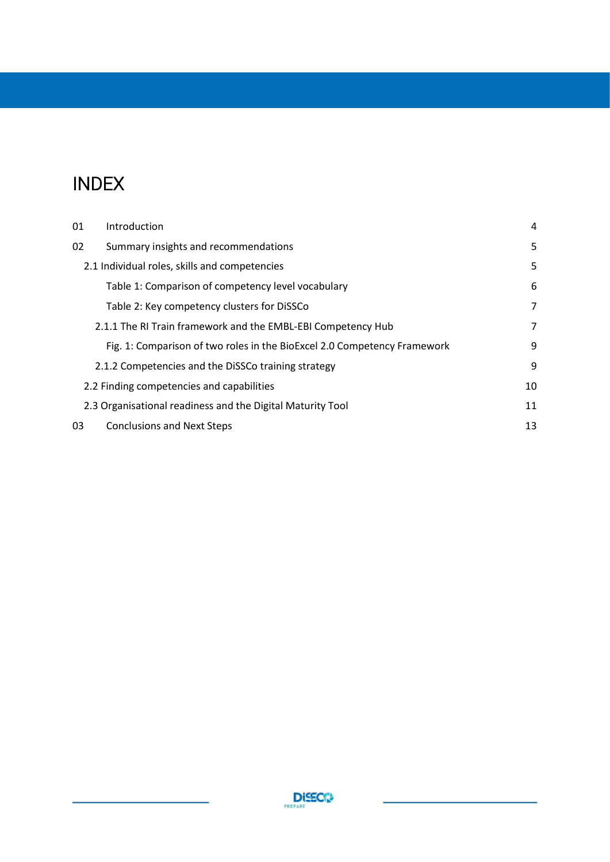## INDEX

| 01                                                         | Introduction                                                             | 4  |  |
|------------------------------------------------------------|--------------------------------------------------------------------------|----|--|
| 02                                                         | Summary insights and recommendations                                     | 5  |  |
|                                                            | 2.1 Individual roles, skills and competencies                            |    |  |
|                                                            | Table 1: Comparison of competency level vocabulary                       | 6  |  |
|                                                            | Table 2: Key competency clusters for DiSSCo                              | 7  |  |
|                                                            | 2.1.1 The RI Train framework and the EMBL-EBI Competency Hub             | 7  |  |
|                                                            | Fig. 1: Comparison of two roles in the BioExcel 2.0 Competency Framework | 9  |  |
|                                                            | 2.1.2 Competencies and the DiSSCo training strategy                      | 9  |  |
| 2.2 Finding competencies and capabilities                  |                                                                          |    |  |
| 2.3 Organisational readiness and the Digital Maturity Tool |                                                                          |    |  |
| 03                                                         | <b>Conclusions and Next Steps</b>                                        | 13 |  |

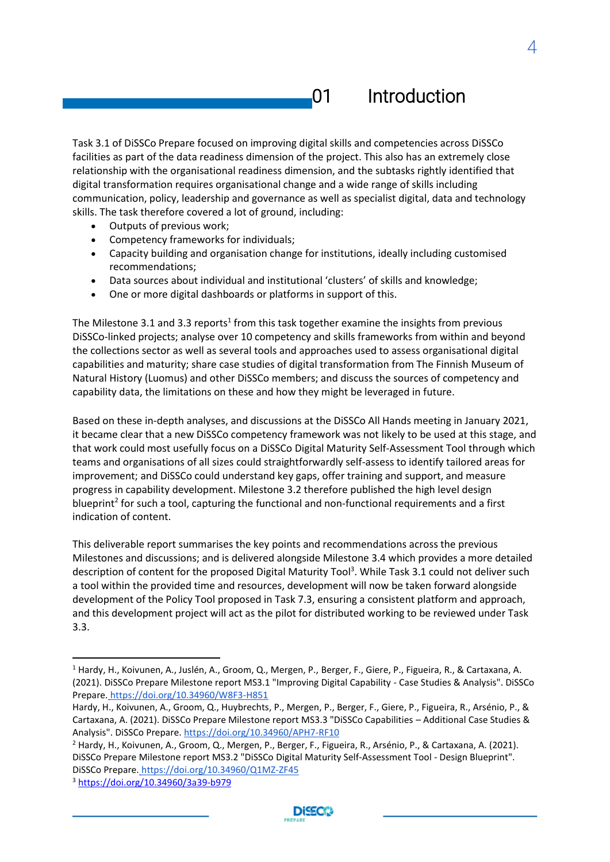## <span id="page-5-0"></span>01 Introduction

Task 3.1 of DiSSCo Prepare focused on improving digital skills and competencies across DiSSCo facilities as part of the data readiness dimension of the project. This also has an extremely close relationship with the organisational readiness dimension, and the subtasks rightly identified that digital transformation requires organisational change and a wide range of skills including communication, policy, leadership and governance as well as specialist digital, data and technology skills. The task therefore covered a lot of ground, including:

- Outputs of previous work;
- Competency frameworks for individuals;
- Capacity building and organisation change for institutions, ideally including customised recommendations;
- Data sources about individual and institutional 'clusters' of skills and knowledge;
- One or more digital dashboards or platforms in support of this.

The Milestone 3.1 and 3.3 reports<sup>1</sup> from this task together examine the insights from previous DiSSCo-linked projects; analyse over 10 competency and skills frameworks from within and beyond the collections sector as well as several tools and approaches used to assess organisational digital capabilities and maturity; share case studies of digital transformation from The Finnish Museum of Natural History (Luomus) and other DiSSCo members; and discuss the sources of competency and capability data, the limitations on these and how they might be leveraged in future.

Based on these in-depth analyses, and discussions at the DiSSCo All Hands meeting in January 2021, it became clear that a new DiSSCo competency framework was not likely to be used at this stage, and that work could most usefully focus on a DiSSCo Digital Maturity Self-Assessment Tool through which teams and organisations of all sizes could straightforwardly self-assess to identify tailored areas for improvement; and DiSSCo could understand key gaps, offer training and support, and measure progress in capability development. Milestone 3.2 therefore published the high level design blueprint<sup>2</sup> for such a tool, capturing the functional and non-functional requirements and a first indication of content.

This deliverable report summarises the key points and recommendations across the previous Milestones and discussions; and is delivered alongside Milestone 3.4 which provides a more detailed description of content for the proposed Digital Maturity Tool<sup>3</sup>. While Task 3.1 could not deliver such a tool within the provided time and resources, development will now be taken forward alongside development of the Policy Tool proposed in Task 7.3, ensuring a consistent platform and approach, and this development project will act as the pilot for distributed working to be reviewed under Task 3.3.

<sup>3</sup> <https://doi.org/10.34960/3a39-b979>



4

<sup>1</sup> Hardy, H., Koivunen, A., Juslén, A., Groom, Q., Mergen, P., Berger, F., Giere, P., Figueira, R., & Cartaxana, A. (2021). DiSSCo Prepare Milestone report MS3.1 "Improving Digital Capability - Case Studies & Analysis". DiSSCo Prepare. <https://doi.org/10.34960/W8F3-H851>

Hardy, H., Koivunen, A., Groom, Q., Huybrechts, P., Mergen, P., Berger, F., Giere, P., Figueira, R., Arsénio, P., & Cartaxana, A. (2021). DiSSCo Prepare Milestone report MS3.3 "DiSSCo Capabilities – Additional Case Studies & Analysis". DiSSCo Prepare. <https://doi.org/10.34960/APH7-RF10>

<sup>&</sup>lt;sup>2</sup> Hardy, H., Koivunen, A., Groom, Q., Mergen, P., Berger, F., Figueira, R., Arsénio, P., & Cartaxana, A. (2021). DiSSCo Prepare Milestone report MS3.2 "DiSSCo Digital Maturity Self-Assessment Tool - Design Blueprint". DiSSCo Prepare. <https://doi.org/10.34960/Q1MZ-ZF45>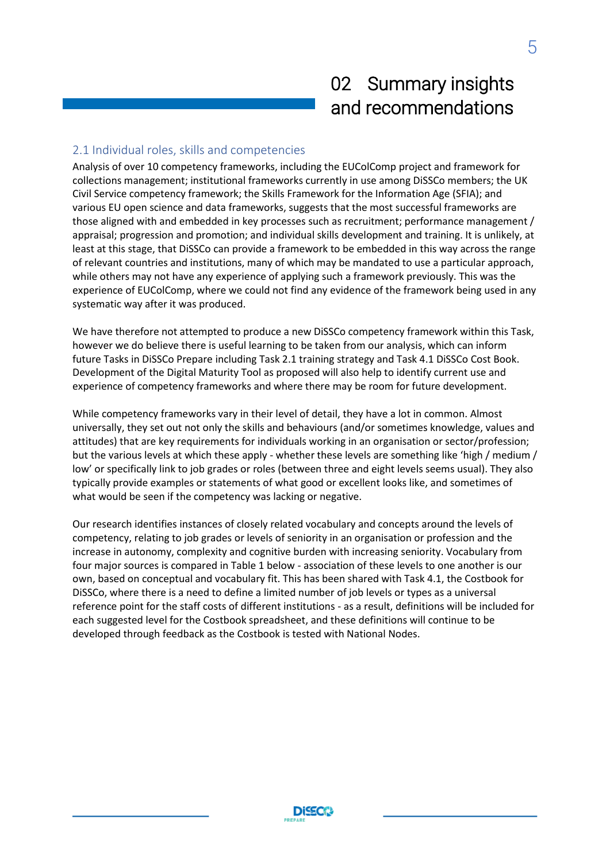## 02 Summary insights and recommendations

## <span id="page-6-1"></span><span id="page-6-0"></span>2.1 Individual roles, skills and competencies

Analysis of over 10 competency frameworks, including the EUColComp project and framework for collections management; institutional frameworks currently in use among DiSSCo members; the UK Civil Service competency framework; the Skills Framework for the Information Age (SFIA); and various EU open science and data frameworks, suggests that the most successful frameworks are those aligned with and embedded in key processes such as recruitment; performance management / appraisal; progression and promotion; and individual skills development and training. It is unlikely, at least at this stage, that DiSSCo can provide a framework to be embedded in this way across the range of relevant countries and institutions, many of which may be mandated to use a particular approach, while others may not have any experience of applying such a framework previously. This was the experience of EUColComp, where we could not find any evidence of the framework being used in any systematic way after it was produced.

We have therefore not attempted to produce a new DiSSCo competency framework within this Task, however we do believe there is useful learning to be taken from our analysis, which can inform future Tasks in DiSSCo Prepare including Task 2.1 training strategy and Task 4.1 DiSSCo Cost Book. Development of the Digital Maturity Tool as proposed will also help to identify current use and experience of competency frameworks and where there may be room for future development.

While competency frameworks vary in their level of detail, they have a lot in common. Almost universally, they set out not only the skills and behaviours (and/or sometimes knowledge, values and attitudes) that are key requirements for individuals working in an organisation or sector/profession; but the various levels at which these apply - whether these levels are something like 'high / medium / low' or specifically link to job grades or roles (between three and eight levels seems usual). They also typically provide examples or statements of what good or excellent looks like, and sometimes of what would be seen if the competency was lacking or negative.

Our research identifies instances of closely related vocabulary and concepts around the levels of competency, relating to job grades or levels of seniority in an organisation or profession and the increase in autonomy, complexity and cognitive burden with increasing seniority. Vocabulary from four major sources is compared in Table 1 below - association of these levels to one another is our own, based on conceptual and vocabulary fit. This has been shared with Task 4.1, the Costbook for DiSSCo, where there is a need to define a limited number of job levels or types as a universal reference point for the staff costs of different institutions - as a result, definitions will be included for each suggested level for the Costbook spreadsheet, and these definitions will continue to be developed through feedback as the Costbook is tested with National Nodes.

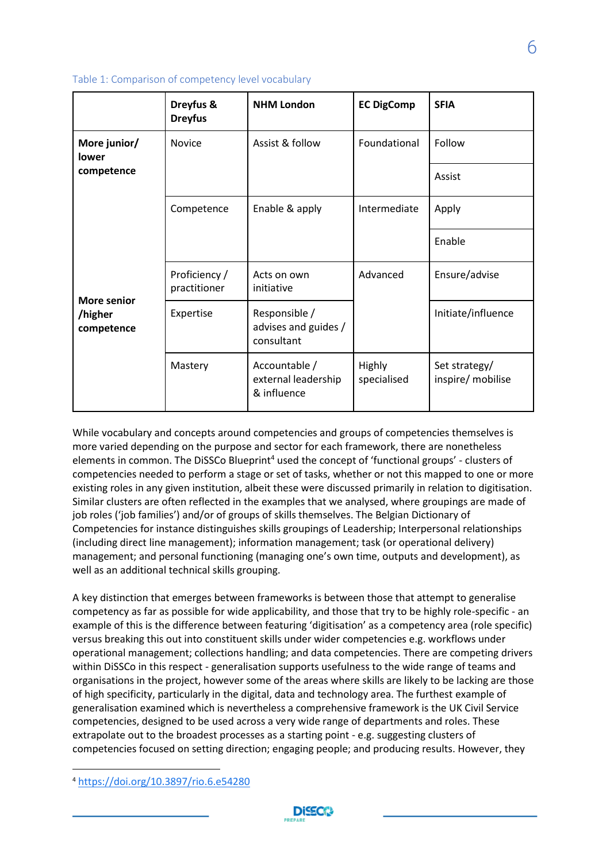|                       | Dreyfus &<br><b>Dreyfus</b>   | <b>NHM London</b>                                   | <b>EC DigComp</b>     | <b>SFIA</b>                        |
|-----------------------|-------------------------------|-----------------------------------------------------|-----------------------|------------------------------------|
| More junior/<br>lower | Novice                        | Assist & follow                                     | Foundational          | Follow                             |
| competence            |                               |                                                     |                       | Assist                             |
|                       | Competence                    | Enable & apply                                      | Intermediate          | Apply                              |
|                       |                               |                                                     |                       | Enable                             |
| <b>More senior</b>    | Proficiency /<br>practitioner | Acts on own<br>initiative                           | Advanced              | Ensure/advise                      |
| /higher<br>competence | Expertise                     | Responsible /<br>advises and guides /<br>consultant |                       | Initiate/influence                 |
|                       | Mastery                       | Accountable /<br>external leadership<br>& influence | Highly<br>specialised | Set strategy/<br>inspire/ mobilise |

<span id="page-7-0"></span>Table 1: Comparison of competency level vocabulary

While vocabulary and concepts around competencies and groups of competencies themselves is more varied depending on the purpose and sector for each framework, there are nonetheless elements in common. The DiSSCo Blueprint<sup>4</sup> used the concept of 'functional groups' - clusters of competencies needed to perform a stage or set of tasks, whether or not this mapped to one or more existing roles in any given institution, albeit these were discussed primarily in relation to digitisation. Similar clusters are often reflected in the examples that we analysed, where groupings are made of job roles ('job families') and/or of groups of skills themselves. The Belgian Dictionary of Competencies for instance distinguishes skills groupings of Leadership; Interpersonal relationships (including direct line management); information management; task (or operational delivery) management; and personal functioning (managing one's own time, outputs and development), as well as an additional technical skills grouping.

A key distinction that emerges between frameworks is between those that attempt to generalise competency as far as possible for wide applicability, and those that try to be highly role-specific - an example of this is the difference between featuring 'digitisation' as a competency area (role specific) versus breaking this out into constituent skills under wider competencies e.g. workflows under operational management; collections handling; and data competencies. There are competing drivers within DiSSCo in this respect - generalisation supports usefulness to the wide range of teams and organisations in the project, however some of the areas where skills are likely to be lacking are those of high specificity, particularly in the digital, data and technology area. The furthest example of generalisation examined which is nevertheless a comprehensive framework is the UK Civil Service competencies, designed to be used across a very wide range of departments and roles. These extrapolate out to the broadest processes as a starting point - e.g. suggesting clusters of competencies focused on setting direction; engaging people; and producing results. However, they



<sup>4</sup> <https://doi.org/10.3897/rio.6.e54280>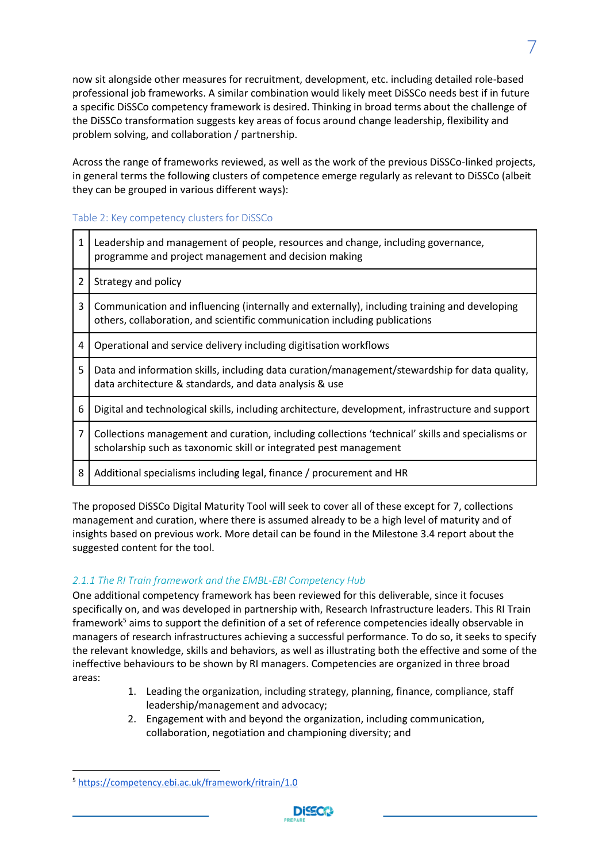now sit alongside other measures for recruitment, development, etc. including detailed role-based professional job frameworks. A similar combination would likely meet DiSSCo needs best if in future a specific DiSSCo competency framework is desired. Thinking in broad terms about the challenge of the DiSSCo transformation suggests key areas of focus around change leadership, flexibility and problem solving, and collaboration / partnership.

Across the range of frameworks reviewed, as well as the work of the previous DiSSCo-linked projects, in general terms the following clusters of competence emerge regularly as relevant to DiSSCo (albeit they can be grouped in various different ways):

## <span id="page-8-0"></span>Table 2: Key competency clusters for DiSSCo

| 1 | Leadership and management of people, resources and change, including governance,<br>programme and project management and decision making                                   |
|---|----------------------------------------------------------------------------------------------------------------------------------------------------------------------------|
| 2 | Strategy and policy                                                                                                                                                        |
| 3 | Communication and influencing (internally and externally), including training and developing<br>others, collaboration, and scientific communication including publications |
| 4 | Operational and service delivery including digitisation workflows                                                                                                          |
| 5 | Data and information skills, including data curation/management/stewardship for data quality,<br>data architecture & standards, and data analysis & use                    |
| 6 | Digital and technological skills, including architecture, development, infrastructure and support                                                                          |
| 7 | Collections management and curation, including collections 'technical' skills and specialisms or<br>scholarship such as taxonomic skill or integrated pest management      |
| 8 | Additional specialisms including legal, finance / procurement and HR                                                                                                       |

The proposed DiSSCo Digital Maturity Tool will seek to cover all of these except for 7, collections management and curation, where there is assumed already to be a high level of maturity and of insights based on previous work. More detail can be found in the Milestone 3.4 report about the suggested content for the tool.

## <span id="page-8-1"></span>*2.1.1 The RI Train framework and the EMBL-EBI Competency Hub*

One additional competency framework has been reviewed for this deliverable, since it focuses specifically on, and was developed in partnership with, Research Infrastructure leaders. This RI Train framework<sup>5</sup> aims to support the definition of a set of reference competencies ideally observable in managers of research infrastructures achieving a successful performance. To do so, it seeks to specify the relevant knowledge, skills and behaviors, as well as illustrating both the effective and some of the ineffective behaviours to be shown by RI managers. Competencies are organized in three broad areas:

- 1. Leading the organization, including strategy, planning, finance, compliance, staff leadership/management and advocacy;
- 2. Engagement with and beyond the organization, including communication, collaboration, negotiation and championing diversity; and



<sup>5</sup> <https://competency.ebi.ac.uk/framework/ritrain/1.0>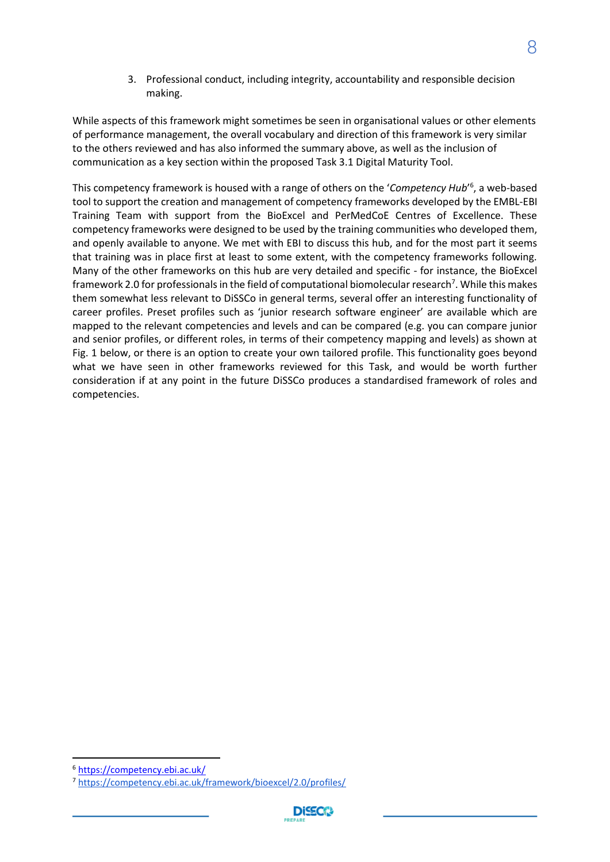3. Professional conduct, including integrity, accountability and responsible decision making.

While aspects of this framework might sometimes be seen in organisational values or other elements of performance management, the overall vocabulary and direction of this framework is very similar to the others reviewed and has also informed the summary above, as well as the inclusion of communication as a key section within the proposed Task 3.1 Digital Maturity Tool.

This competency framework is housed with a range of others on the '*Competency Hub*' 6 , a web-based tool to support the creation and management of competency frameworks developed by the EMBL-EBI Training Team with support from the BioExcel and PerMedCoE Centres of Excellence. These competency frameworks were designed to be used by the training communities who developed them, and openly available to anyone. We met with EBI to discuss this hub, and for the most part it seems that training was in place first at least to some extent, with the competency frameworks following. Many of the other frameworks on this hub are very detailed and specific - for instance, the BioExcel framework 2.0 for professionals in the field of computational biomolecular research<sup>7</sup>. While this makes them somewhat less relevant to DiSSCo in general terms, several offer an interesting functionality of career profiles. Preset profiles such as 'junior research software engineer' are available which are mapped to the relevant competencies and levels and can be compared (e.g. you can compare junior and senior profiles, or different roles, in terms of their competency mapping and levels) as shown at Fig. 1 below, or there is an option to create your own tailored profile. This functionality goes beyond what we have seen in other frameworks reviewed for this Task, and would be worth further consideration if at any point in the future DiSSCo produces a standardised framework of roles and competencies.



<sup>6</sup> <https://competency.ebi.ac.uk/>

<sup>7</sup> <https://competency.ebi.ac.uk/framework/bioexcel/2.0/profiles/>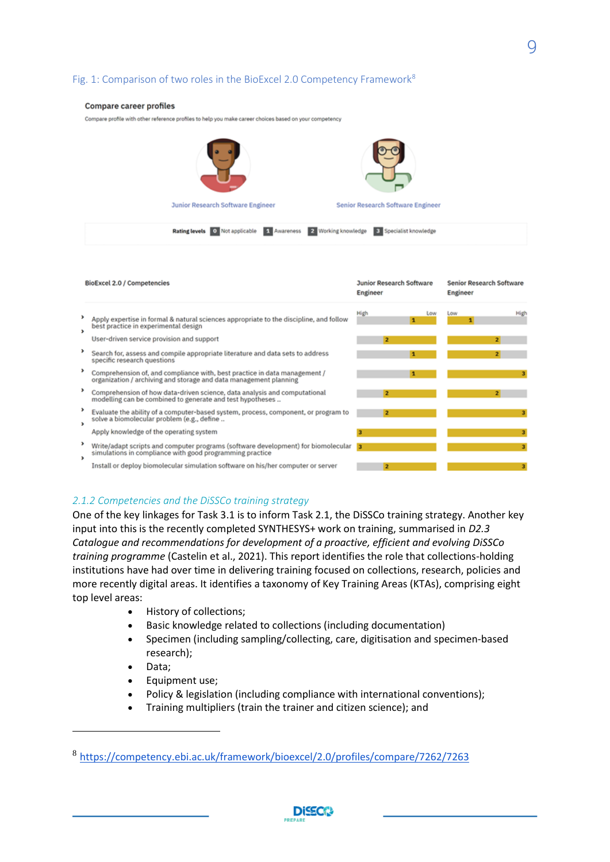## <span id="page-10-0"></span>Fig. 1: Comparison of two roles in the BioExcel 2.0 Competency Framework<sup>8</sup>

#### **Compare career profiles**

Compare profile with other reference profiles to help you make career choices based on your competency



|   | BioExcel 2.0 / Competencies                                                                                                                                | <b>Junior Research Software</b><br>Engineer | <b>Senior Research Software</b><br>Engineer |  |
|---|------------------------------------------------------------------------------------------------------------------------------------------------------------|---------------------------------------------|---------------------------------------------|--|
| , | Apply expertise in formal & natural sciences appropriate to the discipline, and follow<br>best practice in experimental design                             | High<br>Low                                 | High<br>Low                                 |  |
|   | User-driven service provision and support<br>Search for, assess and compile appropriate literature and data sets to address<br>specific research questions | $\overline{\mathbf{z}}$                     | 21                                          |  |
|   | Comprehension of, and compliance with, best practice in data management /<br>organization / archiving and storage and data management planning             |                                             |                                             |  |
|   | Comprehension of how data-driven science, data analysis and computational<br>modelling can be combined to generate and test hypotheses                     | 2                                           | 2.                                          |  |
| , | Evaluate the ability of a computer-based system, process, component, or program to<br>solve a biomolecular problem (e.g., define                           | 2                                           |                                             |  |
|   | Apply knowledge of the operating system                                                                                                                    |                                             | 3                                           |  |
| , | Write/adapt scripts and computer programs (software development) for biomolecular<br>simulations in compliance with good programming practice              | 13                                          | з                                           |  |
|   | Install or deploy biomolecular simulation software on his/her computer or server                                                                           | 2                                           | 3                                           |  |

#### <span id="page-10-1"></span>*2.1.2 Competencies and the DiSSCo training strategy*

One of the key linkages for Task 3.1 is to inform Task 2.1, the DiSSCo training strategy. Another key input into this is the recently completed SYNTHESYS+ work on training, summarised in *D2.3 Catalogue and recommendations for development of a proactive, efficient and evolving DiSSCo training programme* (Castelin et al., 2021). This report identifies the role that collections-holding institutions have had over time in delivering training focused on collections, research, policies and more recently digital areas. It identifies a taxonomy of Key Training Areas (KTAs), comprising eight top level areas:

- History of collections;
- Basic knowledge related to collections (including documentation)
- Specimen (including sampling/collecting, care, digitisation and specimen-based research);
- Data;
- Equipment use;
- Policy & legislation (including compliance with international conventions);
- Training multipliers (train the trainer and citizen science); and



<sup>8</sup> <https://competency.ebi.ac.uk/framework/bioexcel/2.0/profiles/compare/7262/7263>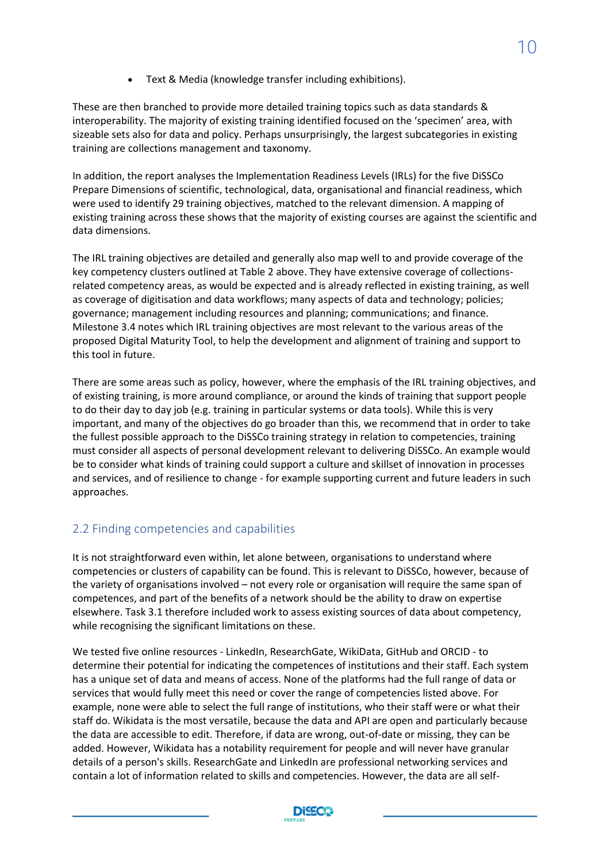• Text & Media (knowledge transfer including exhibitions).

These are then branched to provide more detailed training topics such as data standards & interoperability. The majority of existing training identified focused on the 'specimen' area, with sizeable sets also for data and policy. Perhaps unsurprisingly, the largest subcategories in existing training are collections management and taxonomy.

In addition, the report analyses the Implementation Readiness Levels (IRLs) for the five DiSSCo Prepare Dimensions of scientific, technological, data, organisational and financial readiness, which were used to identify 29 training objectives, matched to the relevant dimension. A mapping of existing training across these shows that the majority of existing courses are against the scientific and data dimensions.

The IRL training objectives are detailed and generally also map well to and provide coverage of the key competency clusters outlined at Table 2 above. They have extensive coverage of collectionsrelated competency areas, as would be expected and is already reflected in existing training, as well as coverage of digitisation and data workflows; many aspects of data and technology; policies; governance; management including resources and planning; communications; and finance. Milestone 3.4 notes which IRL training objectives are most relevant to the various areas of the proposed Digital Maturity Tool, to help the development and alignment of training and support to this tool in future.

There are some areas such as policy, however, where the emphasis of the IRL training objectives, and of existing training, is more around compliance, or around the kinds of training that support people to do their day to day job (e.g. training in particular systems or data tools). While this is very important, and many of the objectives do go broader than this, we recommend that in order to take the fullest possible approach to the DiSSCo training strategy in relation to competencies, training must consider all aspects of personal development relevant to delivering DiSSCo. An example would be to consider what kinds of training could support a culture and skillset of innovation in processes and services, and of resilience to change - for example supporting current and future leaders in such approaches.

## <span id="page-11-0"></span>2.2 Finding competencies and capabilities

It is not straightforward even within, let alone between, organisations to understand where competencies or clusters of capability can be found. This is relevant to DiSSCo, however, because of the variety of organisations involved – not every role or organisation will require the same span of competences, and part of the benefits of a network should be the ability to draw on expertise elsewhere. Task 3.1 therefore included work to assess existing sources of data about competency, while recognising the significant limitations on these.

We tested five online resources - LinkedIn, ResearchGate, WikiData, GitHub and ORCID - to determine their potential for indicating the competences of institutions and their staff. Each system has a unique set of data and means of access. None of the platforms had the full range of data or services that would fully meet this need or cover the range of competencies listed above. For example, none were able to select the full range of institutions, who their staff were or what their staff do. Wikidata is the most versatile, because the data and API are open and particularly because the data are accessible to edit. Therefore, if data are wrong, out-of-date or missing, they can be added. However, Wikidata has a notability requirement for people and will never have granular details of a person's skills. ResearchGate and LinkedIn are professional networking services and contain a lot of information related to skills and competencies. However, the data are all self-

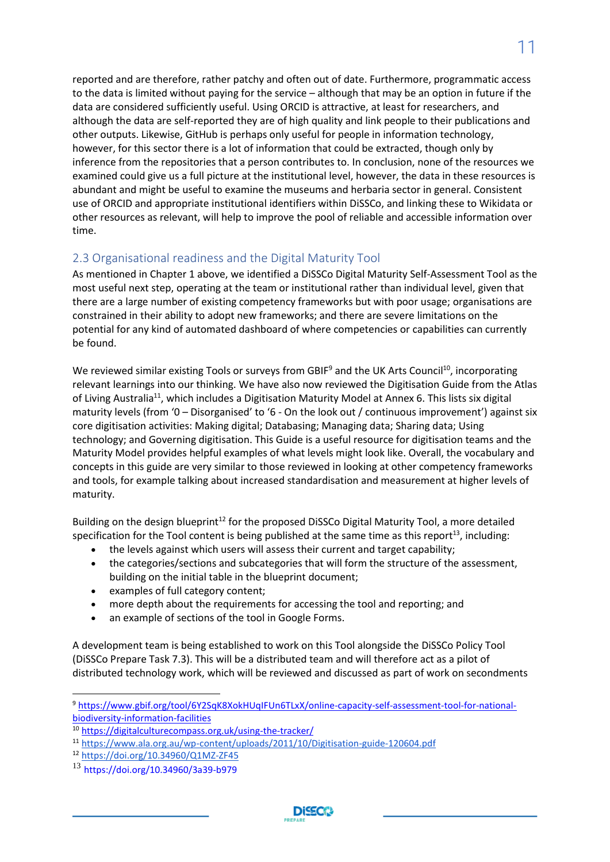reported and are therefore, rather patchy and often out of date. Furthermore, programmatic access to the data is limited without paying for the service – although that may be an option in future if the data are considered sufficiently useful. Using ORCID is attractive, at least for researchers, and although the data are self-reported they are of high quality and link people to their publications and other outputs. Likewise, GitHub is perhaps only useful for people in information technology, however, for this sector there is a lot of information that could be extracted, though only by inference from the repositories that a person contributes to. In conclusion, none of the resources we examined could give us a full picture at the institutional level, however, the data in these resources is abundant and might be useful to examine the museums and herbaria sector in general. Consistent use of ORCID and appropriate institutional identifiers within DiSSCo, and linking these to Wikidata or other resources as relevant, will help to improve the pool of reliable and accessible information over time.

## <span id="page-12-0"></span>2.3 Organisational readiness and the Digital Maturity Tool

As mentioned in Chapter 1 above, we identified a DiSSCo Digital Maturity Self-Assessment Tool as the most useful next step, operating at the team or institutional rather than individual level, given that there are a large number of existing competency frameworks but with poor usage; organisations are constrained in their ability to adopt new frameworks; and there are severe limitations on the potential for any kind of automated dashboard of where competencies or capabilities can currently be found.

We reviewed similar existing Tools or surveys from GBIF<sup>9</sup> and the UK Arts Council<sup>10</sup>, incorporating relevant learnings into our thinking. We have also now reviewed the Digitisation Guide from the Atlas of Living Australia<sup>11</sup>, which includes a Digitisation Maturity Model at Annex 6. This lists six digital maturity levels (from '0 – Disorganised' to '6 - On the look out / continuous improvement') against six core digitisation activities: Making digital; Databasing; Managing data; Sharing data; Using technology; and Governing digitisation. This Guide is a useful resource for digitisation teams and the Maturity Model provides helpful examples of what levels might look like. Overall, the vocabulary and concepts in this guide are very similar to those reviewed in looking at other competency frameworks and tools, for example talking about increased standardisation and measurement at higher levels of maturity.

Building on the design blueprint<sup>12</sup> for the proposed DiSSCo Digital Maturity Tool, a more detailed specification for the Tool content is being published at the same time as this report<sup>13</sup>, including:

- the levels against which users will assess their current and target capability;
- the categories/sections and subcategories that will form the structure of the assessment, building on the initial table in the blueprint document;
- examples of full category content;
- more depth about the requirements for accessing the tool and reporting; and
- an example of sections of the tool in Google Forms.

A development team is being established to work on this Tool alongside the DiSSCo Policy Tool (DiSSCo Prepare Task 7.3). This will be a distributed team and will therefore act as a pilot of distributed technology work, which will be reviewed and discussed as part of work on secondments

<sup>9</sup> [https://www.gbif.org/tool/6Y2SqK8XokHUqIFUn6TLxX/online-capacity-self-assessment-tool-for-national](https://www.gbif.org/tool/6Y2SqK8XokHUqIFUn6TLxX/online-capacity-self-assessment-tool-for-national-biodiversity-information-facilities)[biodiversity-information-facilities](https://www.gbif.org/tool/6Y2SqK8XokHUqIFUn6TLxX/online-capacity-self-assessment-tool-for-national-biodiversity-information-facilities)

<sup>10</sup> <https://digitalculturecompass.org.uk/using-the-tracker/>

<sup>11</sup> <https://www.ala.org.au/wp-content/uploads/2011/10/Digitisation-guide-120604.pdf>

<sup>12</sup> <https://doi.org/10.34960/Q1MZ-ZF45>

<sup>13</sup> https://doi.org/10.34960/3a39-b979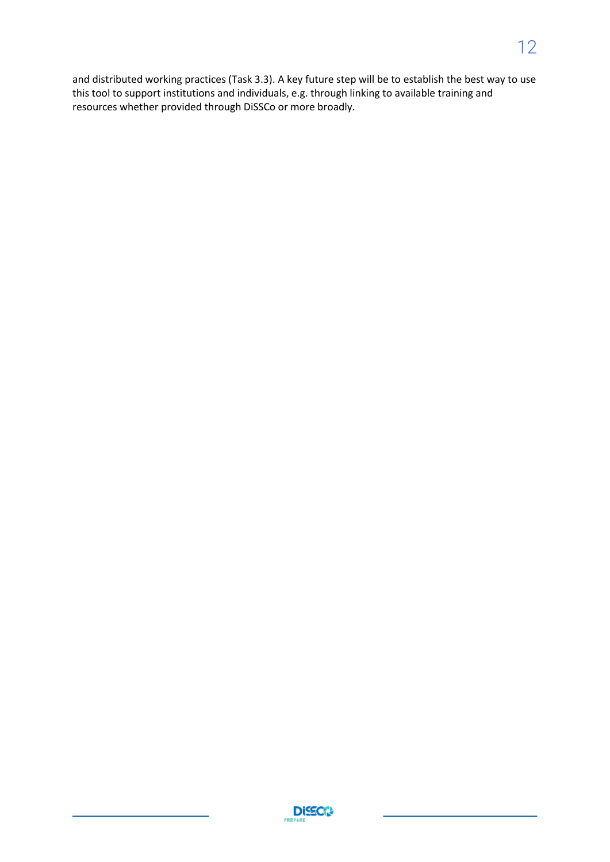and distributed working practices (Task 3.3). A key future step will be to establish the best way to use this tool to support institutions and individuals, e.g. through linking to available training and resources whether provided through DiSSCo or more broadly.